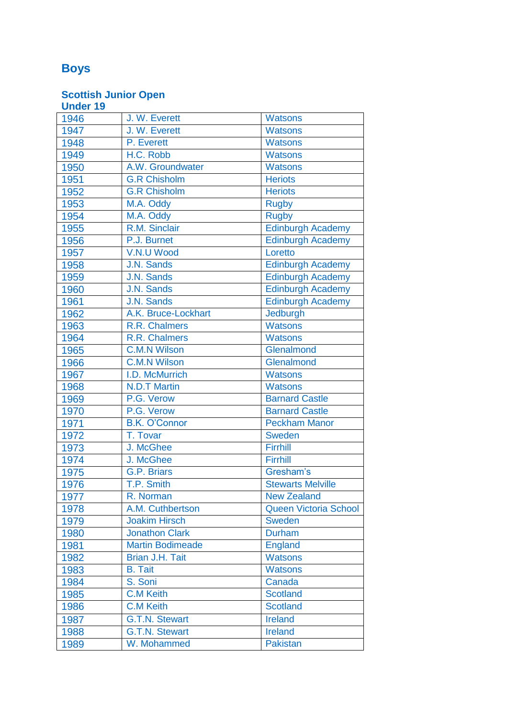# **Boys**

| <b>Under 19</b> |                         |                              |
|-----------------|-------------------------|------------------------------|
| 1946            | J. W. Everett           | <b>Watsons</b>               |
| 1947            | J. W. Everett           | <b>Watsons</b>               |
| 1948            | P. Everett              | <b>Watsons</b>               |
| 1949            | H.C. Robb               | <b>Watsons</b>               |
| 1950            | A.W. Groundwater        | <b>Watsons</b>               |
| 1951            | <b>G.R Chisholm</b>     | <b>Heriots</b>               |
| 1952            | <b>G.R Chisholm</b>     | <b>Heriots</b>               |
| 1953            | M.A. Oddy               | <b>Rugby</b>                 |
| 1954            | M.A. Oddy               | <b>Rugby</b>                 |
| 1955            | R.M. Sinclair           | Edinburgh Academy            |
| 1956            | P.J. Burnet             | <b>Edinburgh Academy</b>     |
| 1957            | V.N.U Wood              | Loretto                      |
| 1958            | J.N. Sands              | <b>Edinburgh Academy</b>     |
| 1959            | J.N. Sands              | <b>Edinburgh Academy</b>     |
| 1960            | J.N. Sands              | <b>Edinburgh Academy</b>     |
| 1961            | J.N. Sands              | <b>Edinburgh Academy</b>     |
| 1962            | A.K. Bruce-Lockhart     | Jedburgh                     |
| 1963            | R.R. Chalmers           | <b>Watsons</b>               |
| 1964            | R.R. Chalmers           | <b>Watsons</b>               |
| 1965            | <b>C.M.N Wilson</b>     | Glenalmond                   |
| 1966            | <b>C.M.N Wilson</b>     | Glenalmond                   |
| 1967            | I.D. McMurrich          | <b>Watsons</b>               |
| 1968            | <b>N.D.T Martin</b>     | <b>Watsons</b>               |
| 1969            | P.G. Verow              | <b>Barnard Castle</b>        |
| 1970            | P.G. Verow              | <b>Barnard Castle</b>        |
| 1971            | <b>B.K. O'Connor</b>    | <b>Peckham Manor</b>         |
| 1972            | T. Tovar                | <b>Sweden</b>                |
| 1973            | J. McGhee               | Firrhill                     |
| 1974            | J. McGhee               | Firrhill                     |
| 1975            | G.P. Briars             | Gresham's                    |
| 1976            | T.P. Smith              | <b>Stewarts Melville</b>     |
| 1977            | R. Norman               | <b>New Zealand</b>           |
| 1978            | A.M. Cuthbertson        | <b>Queen Victoria School</b> |
| 1979            | <b>Joakim Hirsch</b>    | Sweden                       |
| 1980            | <b>Jonathon Clark</b>   | <b>Durham</b>                |
| 1981            | <b>Martin Bodimeade</b> | <b>England</b>               |
| 1982            | <b>Brian J.H. Tait</b>  | <b>Watsons</b>               |
| 1983            | <b>B.</b> Tait          | <b>Watsons</b>               |
| 1984            | S. Soni                 | Canada                       |
| 1985            | <b>C.M Keith</b>        | <b>Scotland</b>              |
| 1986            | <b>C.M Keith</b>        | <b>Scotland</b>              |
| 1987            | <b>G.T.N. Stewart</b>   | Ireland                      |
| 1988            | <b>G.T.N. Stewart</b>   | <b>Ireland</b>               |
| 1989            | W. Mohammed             | <b>Pakistan</b>              |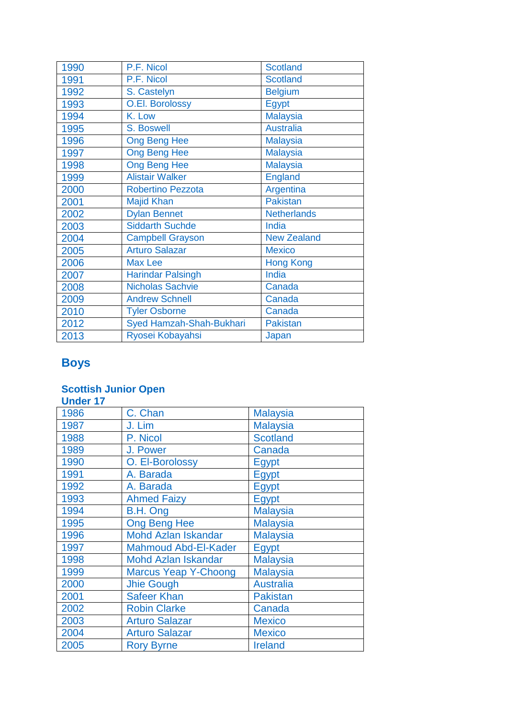| 1990 | P.F. Nicol               | <b>Scotland</b>    |
|------|--------------------------|--------------------|
| 1991 | P.F. Nicol               | <b>Scotland</b>    |
| 1992 | S. Castelyn              | <b>Belgium</b>     |
| 1993 | <b>O.El. Borolossy</b>   | Egypt              |
| 1994 | K. Low                   | <b>Malaysia</b>    |
| 1995 | S. Boswell               | <b>Australia</b>   |
| 1996 | <b>Ong Beng Hee</b>      | <b>Malaysia</b>    |
| 1997 | <b>Ong Beng Hee</b>      | <b>Malaysia</b>    |
| 1998 | <b>Ong Beng Hee</b>      | <b>Malaysia</b>    |
| 1999 | <b>Alistair Walker</b>   | <b>England</b>     |
| 2000 | <b>Robertino Pezzota</b> | Argentina          |
| 2001 | <b>Majid Khan</b>        | <b>Pakistan</b>    |
| 2002 | <b>Dylan Bennet</b>      | <b>Netherlands</b> |
| 2003 | <b>Siddarth Suchde</b>   | India              |
| 2004 | <b>Campbell Grayson</b>  | <b>New Zealand</b> |
| 2005 | <b>Arturo Salazar</b>    | <b>Mexico</b>      |
| 2006 | <b>Max Lee</b>           | <b>Hong Kong</b>   |
| 2007 | <b>Harindar Palsingh</b> | India              |
| 2008 | Nicholas Sachvie         | Canada             |
| 2009 | <b>Andrew Schnell</b>    | Canada             |
| 2010 | <b>Tyler Osborne</b>     | Canada             |
| 2012 | Syed Hamzah-Shah-Bukhari | <b>Pakistan</b>    |
| 2013 | Ryosei Kobayahsi         | Japan              |

# **Boys**

| <b>Under</b> |
|--------------|
|--------------|

| 1986 | C. Chan                     | <b>Malaysia</b>  |
|------|-----------------------------|------------------|
| 1987 | J. Lim                      | <b>Malaysia</b>  |
| 1988 | P. Nicol                    | <b>Scotland</b>  |
| 1989 | J. Power                    | Canada           |
| 1990 | O. El-Borolossy             | Egypt            |
| 1991 | A. Barada                   | Egypt            |
| 1992 | A. Barada                   | Egypt            |
| 1993 | <b>Ahmed Faizy</b>          | Egypt            |
| 1994 | B.H. Ong                    | <b>Malaysia</b>  |
| 1995 | <b>Ong Beng Hee</b>         | <b>Malaysia</b>  |
| 1996 | <b>Mohd Azlan Iskandar</b>  | <b>Malaysia</b>  |
| 1997 | <b>Mahmoud Abd-El-Kader</b> | Egypt            |
| 1998 | <b>Mohd Azlan Iskandar</b>  | <b>Malaysia</b>  |
| 1999 | <b>Marcus Yeap Y-Choong</b> | <b>Malaysia</b>  |
| 2000 | <b>Jhie Gough</b>           | <b>Australia</b> |
| 2001 | <b>Safeer Khan</b>          | <b>Pakistan</b>  |
| 2002 | <b>Robin Clarke</b>         | Canada           |
| 2003 | <b>Arturo Salazar</b>       | <b>Mexico</b>    |
| 2004 | <b>Arturo Salazar</b>       | <b>Mexico</b>    |
| 2005 | <b>Rory Byrne</b>           | <b>Ireland</b>   |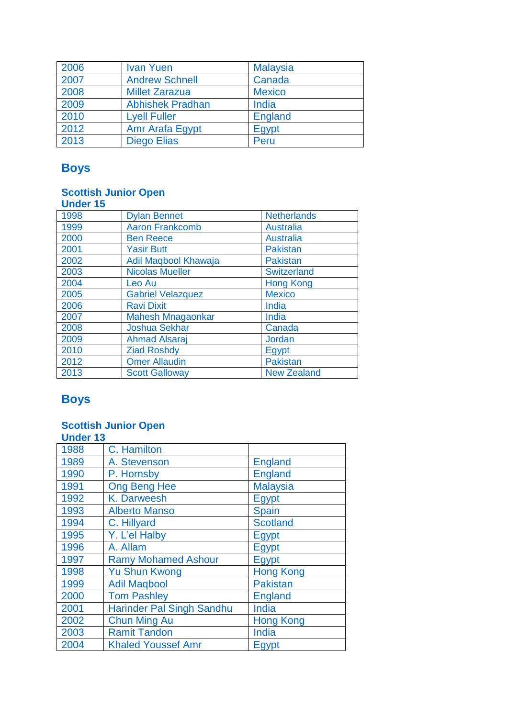| 2006 | <b>Ivan Yuen</b>        | <b>Malaysia</b> |
|------|-------------------------|-----------------|
| 2007 | <b>Andrew Schnell</b>   | Canada          |
| 2008 | <b>Millet Zarazua</b>   | <b>Mexico</b>   |
| 2009 | <b>Abhishek Pradhan</b> | India           |
| 2010 | <b>Lyell Fuller</b>     | <b>England</b>  |
| 2012 | Amr Arafa Egypt         | Egypt           |
| 2013 | <b>Diego Elias</b>      | Peru            |

# **Boys**

#### **Scottish Junior Open**

| <b>Under 15</b> |                          |                    |
|-----------------|--------------------------|--------------------|
| 1998            | <b>Dylan Bennet</b>      | <b>Netherlands</b> |
| 1999            | <b>Aaron Frankcomb</b>   | <b>Australia</b>   |
| 2000            | <b>Ben Reece</b>         | <b>Australia</b>   |
| 2001            | <b>Yasir Butt</b>        | <b>Pakistan</b>    |
| 2002            | Adil Maqbool Khawaja     | <b>Pakistan</b>    |
| 2003            | <b>Nicolas Mueller</b>   | <b>Switzerland</b> |
| 2004            | Leo Au                   | <b>Hong Kong</b>   |
| 2005            | <b>Gabriel Velazquez</b> | <b>Mexico</b>      |
| 2006            | <b>Ravi Dixit</b>        | India              |
| 2007            | <b>Mahesh Mnagaonkar</b> | India              |
| 2008            | <b>Joshua Sekhar</b>     | Canada             |
| 2009            | <b>Ahmad Alsaraj</b>     | Jordan             |
| 2010            | <b>Ziad Roshdy</b>       | Egypt              |
| 2012            | <b>Omer Allaudin</b>     | <b>Pakistan</b>    |
| 2013            | <b>Scott Galloway</b>    | <b>New Zealand</b> |

# **Boys**

| <b>Under 13</b> |                                  |                  |
|-----------------|----------------------------------|------------------|
| 1988            | C. Hamilton                      |                  |
| 1989            | A. Stevenson                     | <b>England</b>   |
| 1990            | P. Hornsby                       | <b>England</b>   |
| 1991            | <b>Ong Beng Hee</b>              | <b>Malaysia</b>  |
| 1992            | <b>K. Darweesh</b>               | Egypt            |
| 1993            | <b>Alberto Manso</b>             | <b>Spain</b>     |
| 1994            | C. Hillyard                      | <b>Scotland</b>  |
| 1995            | Y. L'el Halby                    | Egypt            |
| 1996            | A. Allam                         | Egypt            |
| 1997            | <b>Ramy Mohamed Ashour</b>       | Egypt            |
| 1998            | <b>Yu Shun Kwong</b>             | <b>Hong Kong</b> |
| 1999            | <b>Adil Magbool</b>              | <b>Pakistan</b>  |
| 2000            | <b>Tom Pashley</b>               | <b>England</b>   |
| 2001            | <b>Harinder Pal Singh Sandhu</b> | India            |
| 2002            | <b>Chun Ming Au</b>              | <b>Hong Kong</b> |
| 2003            | <b>Ramit Tandon</b>              | India            |
| 2004            | <b>Khaled Youssef Amr</b>        | Egypt            |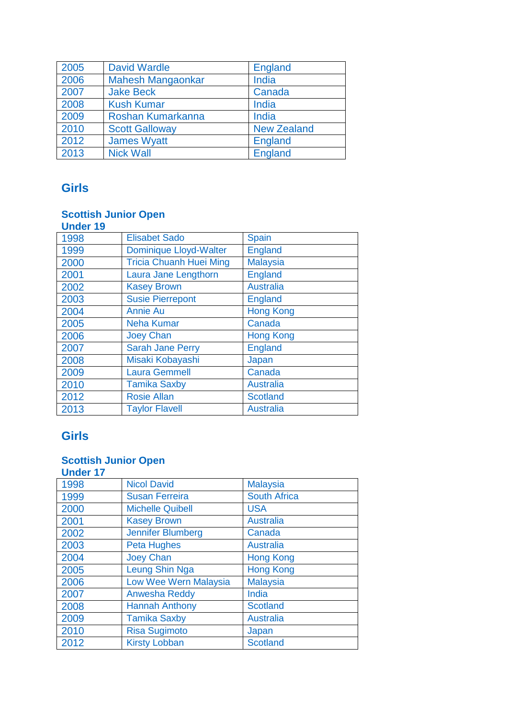| 2005 | <b>David Wardle</b>      | <b>England</b>     |
|------|--------------------------|--------------------|
| 2006 | <b>Mahesh Mangaonkar</b> | India              |
| 2007 | <b>Jake Beck</b>         | Canada             |
| 2008 | <b>Kush Kumar</b>        | India              |
| 2009 | Roshan Kumarkanna        | India              |
| 2010 | <b>Scott Galloway</b>    | <b>New Zealand</b> |
| 2012 | <b>James Wyatt</b>       | England            |
| 2013 | <b>Nick Wall</b>         | <b>England</b>     |

## **Girls**

### **Scottish Junior Open**

| <b>Under 19</b> |                                |                  |
|-----------------|--------------------------------|------------------|
| 1998            | <b>Elisabet Sado</b>           | Spain            |
| 1999            | <b>Dominique Lloyd-Walter</b>  | England          |
| 2000            | <b>Tricia Chuanh Huei Ming</b> | <b>Malaysia</b>  |
| 2001            | Laura Jane Lengthorn           | England          |
| 2002            | <b>Kasey Brown</b>             | <b>Australia</b> |
| 2003            | <b>Susie Pierrepont</b>        | <b>England</b>   |
| 2004            | <b>Annie Au</b>                | <b>Hong Kong</b> |
| 2005            | <b>Neha Kumar</b>              | Canada           |
| 2006            | <b>Joey Chan</b>               | <b>Hong Kong</b> |
| 2007            | <b>Sarah Jane Perry</b>        | England          |
| 2008            | Misaki Kobayashi               | Japan            |
| 2009            | <b>Laura Gemmell</b>           | Canada           |
| 2010            | <b>Tamika Saxby</b>            | <b>Australia</b> |
| 2012            | <b>Rosie Allan</b>             | <b>Scotland</b>  |
| 2013            | <b>Taylor Flavell</b>          | <b>Australia</b> |

## **Girls**

| <b>Under 17</b> |                              |                     |
|-----------------|------------------------------|---------------------|
| 1998            | <b>Nicol David</b>           | <b>Malaysia</b>     |
| 1999            | <b>Susan Ferreira</b>        | <b>South Africa</b> |
| 2000            | <b>Michelle Quibell</b>      | <b>USA</b>          |
| 2001            | <b>Kasey Brown</b>           | <b>Australia</b>    |
| 2002            | <b>Jennifer Blumberg</b>     | Canada              |
| 2003            | <b>Peta Hughes</b>           | <b>Australia</b>    |
| 2004            | <b>Joey Chan</b>             | <b>Hong Kong</b>    |
| 2005            | <b>Leung Shin Nga</b>        | <b>Hong Kong</b>    |
| 2006            | <b>Low Wee Wern Malaysia</b> | <b>Malaysia</b>     |
| 2007            | <b>Anwesha Reddy</b>         | India               |
| 2008            | <b>Hannah Anthony</b>        | <b>Scotland</b>     |
| 2009            | <b>Tamika Saxby</b>          | <b>Australia</b>    |
| 2010            | <b>Risa Sugimoto</b>         | Japan               |
| 2012            | <b>Kirsty Lobban</b>         | <b>Scotland</b>     |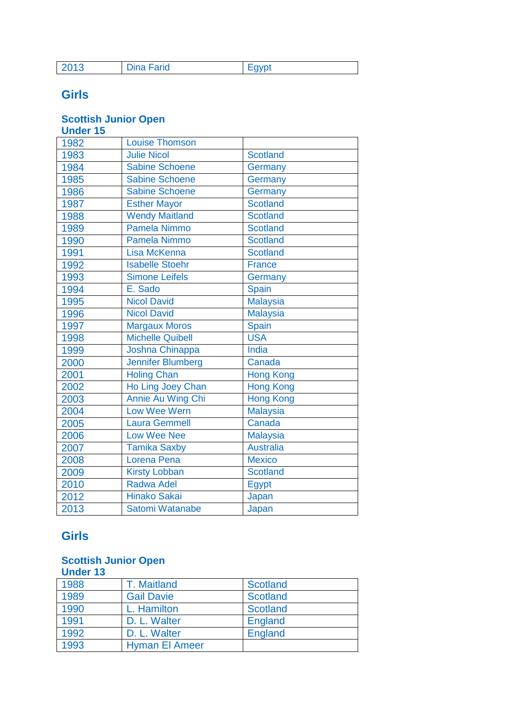| 2013              | Favnt |
|-------------------|-------|
| <b>Dina Farid</b> | −yyr  |

## **Girls**

#### **Scottish Junior Open**

**Under 15**

| unuu |                          |                  |
|------|--------------------------|------------------|
| 1982 | <b>Louise Thomson</b>    |                  |
| 1983 | <b>Julie Nicol</b>       | <b>Scotland</b>  |
| 1984 | <b>Sabine Schoene</b>    | Germany          |
| 1985 | <b>Sabine Schoene</b>    | Germany          |
| 1986 | Sabine Schoene           | Germany          |
| 1987 | <b>Esther Mayor</b>      | <b>Scotland</b>  |
| 1988 | <b>Wendy Maitland</b>    | <b>Scotland</b>  |
| 1989 | <b>Pamela Nimmo</b>      | <b>Scotland</b>  |
| 1990 | <b>Pamela Nimmo</b>      | <b>Scotland</b>  |
| 1991 | Lisa McKenna             | <b>Scotland</b>  |
| 1992 | <b>Isabelle Stoehr</b>   | <b>France</b>    |
| 1993 | <b>Simone Leifels</b>    | Germany          |
| 1994 | E. Sado                  | <b>Spain</b>     |
| 1995 | <b>Nicol David</b>       | <b>Malaysia</b>  |
| 1996 | <b>Nicol David</b>       | <b>Malaysia</b>  |
| 1997 | <b>Margaux Moros</b>     | Spain            |
| 1998 | <b>Michelle Quibell</b>  | <b>USA</b>       |
| 1999 | Joshna Chinappa          | India            |
| 2000 | <b>Jennifer Blumberg</b> | Canada           |
| 2001 | <b>Holing Chan</b>       | <b>Hong Kong</b> |
| 2002 | Ho Ling Joey Chan        | <b>Hong Kong</b> |
| 2003 | Annie Au Wing Chi        | <b>Hong Kong</b> |
| 2004 | <b>Low Wee Wern</b>      | <b>Malaysia</b>  |
| 2005 | <b>Laura Gemmell</b>     | Canada           |
| 2006 | <b>Low Wee Nee</b>       | <b>Malaysia</b>  |
| 2007 | <b>Tamika Saxby</b>      | <b>Australia</b> |
| 2008 | Lorena Pena              | <b>Mexico</b>    |
| 2009 | <b>Kirsty Lobban</b>     | <b>Scotland</b>  |
| 2010 | <b>Radwa Adel</b>        | <b>Egypt</b>     |
| 2012 | <b>Hinako Sakai</b>      | Japan            |
| 2013 | Satomi Watanabe          | Japan            |

### **Girls**

| <b>Under 13</b> |                       |                 |
|-----------------|-----------------------|-----------------|
| 1988            | T. Maitland           | <b>Scotland</b> |
| 1989            | <b>Gail Davie</b>     | <b>Scotland</b> |
| 1990            | L. Hamilton           | <b>Scotland</b> |
| 1991            | D. L. Walter          | <b>England</b>  |
| 1992            | D. L. Walter          | <b>England</b>  |
| 1993            | <b>Hyman El Ameer</b> |                 |